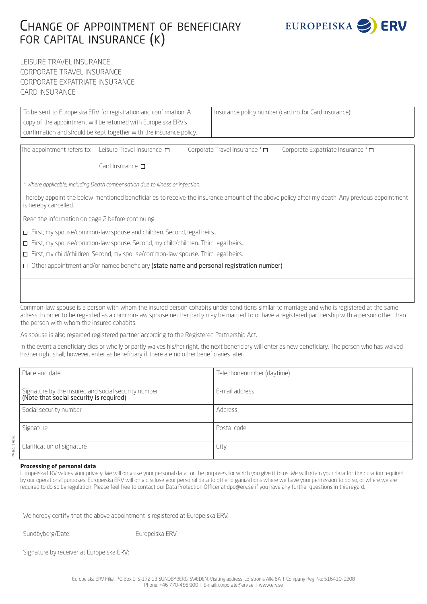# Change of appointment of beneficiary for capital insurance (k)



LEISURE TRAVEL INSURANCE CORPORATE TRAVEL INSURANCE CORPORATE EXPATRIATE INSURANCE CARD INSURANCE

| To be sent to Europeiska ERV for registration and confirmation. A                                                                                                       |                                                                     | Insurance policy number (card no for Card insurance): |                                     |                                   |  |
|-------------------------------------------------------------------------------------------------------------------------------------------------------------------------|---------------------------------------------------------------------|-------------------------------------------------------|-------------------------------------|-----------------------------------|--|
|                                                                                                                                                                         | copy of the appointment will be returned with Europeiska ERV's      |                                                       |                                     |                                   |  |
|                                                                                                                                                                         | confirmation and should be kept together with the insurance policy. |                                                       |                                     |                                   |  |
|                                                                                                                                                                         |                                                                     |                                                       |                                     |                                   |  |
| The appointment refers to: Leisure Travel Insurance $\Box$                                                                                                              |                                                                     |                                                       | Corporate Travel Insurance * $\Box$ | Corporate Expatriate Insurance *□ |  |
|                                                                                                                                                                         | Card Insurance $\Box$                                               |                                                       |                                     |                                   |  |
| * Where applicable, including Death compensation due to illness or infection.                                                                                           |                                                                     |                                                       |                                     |                                   |  |
| I hereby appoint the below-mentioned beneficiaries to receive the insurance amount of the above policy after my death. Any previous appointment<br>is hereby cancelled. |                                                                     |                                                       |                                     |                                   |  |
| Read the information on page 2 before continuing.                                                                                                                       |                                                                     |                                                       |                                     |                                   |  |
| $\Box$ First, my spouse/common-law spouse and children. Second, legal heirs                                                                                             |                                                                     |                                                       |                                     |                                   |  |
| □ First, my spouse/common-law spouse. Second, my child/children. Third legal heirs                                                                                      |                                                                     |                                                       |                                     |                                   |  |
| □ First, my child/children. Second, my spouse/common-law spouse. Third legal heirs.                                                                                     |                                                                     |                                                       |                                     |                                   |  |
| Other appointment and/or named beneficiary (state name and personal registration number)<br>$\Box$                                                                      |                                                                     |                                                       |                                     |                                   |  |
|                                                                                                                                                                         |                                                                     |                                                       |                                     |                                   |  |
|                                                                                                                                                                         |                                                                     |                                                       |                                     |                                   |  |

Common-law spouse is a person with whom the insured person cohabits under conditions similar to marriage and who is registered at the same adress. In order to be regarded as a common-law spouse neither party may be married to or have a registered partnership with a person other than the person with whom the insured cohabits.

As spouse is also regarded registered partner according to the Registered Partnership Act.

In the event a beneficiary dies or wholly or partly waives his/her right, the next beneficiary will enter as new beneficiary. The person who has waived his/her right shall, however, enter as beneficiary if there are no other beneficiaries later.

| Place and date                                                                                 | Telephonenumber (daytime) |  |
|------------------------------------------------------------------------------------------------|---------------------------|--|
| Signature by the insured and social security number<br>(Note that social security is required) | F-mail address            |  |
| Social security number                                                                         | Address                   |  |
| Signature                                                                                      | Postal code               |  |
| Clarification of signature                                                                     | City                      |  |

#### **Processing of personal data**

Europeiska ERV values your privacy. We will only use your personal data for the purposes for which you give it to us. We will retain your data for the duration required by our operational purposes. Europeiska ERV will only disclose your personal data to other organizations where we have your permission to do so, or where we are required to do so by regulation. Please feel free to contact our Data Protection Officer at dpo@erv.se if you have any further questions in this regard.

We hereby certify that the above appointment is registered at Europeiska ERV.

Sundbyberg/Date: Europeiska ERV

Signature by receiver at Europeiska ERV: